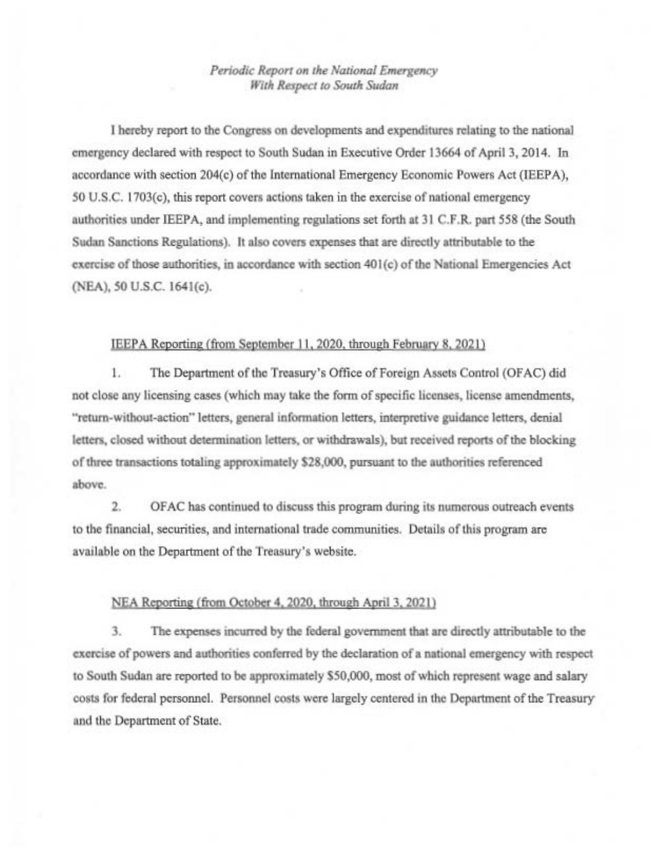## Periodic Report on the National Emergency With Respect to South Sudan

I hereby report to the Congress on developments and expenditures relating to the national emergency declared with respect to South Sudan in Executive Order 13664 of April 3, 2014. In accordance with section 204(c) of the International Emergency Economic Powers Act (IEEPA), 50 U.S.C. 1703(c), this report covers actions taken in the exercise of national emergency authorities under IEEPA, and implementing regulations set forth at 31 C.F.R. part 558 (the South Sudan Sanctions Regulations). It also covers expenses that are directly attributable to the exercise of those authorities, in accordance with section 401(c) of the National Emergencies Act (NEA), 50 U.S.C. 1641(c).

## IEEPA Reporting (from September 11, 2020, through February 8, 2021)

 $1.7$ The Department of the Treasury's Office of Foreign Assets Control (OFAC) did not close any licensing cases (which may take the form of specific licenses, license amendments, "return-without-action" letters, general information letters, interpretive guidance letters, denial letters, closed without determination letters, or withdrawals), but received reports of the blocking of three transactions totaling approximately \$28,000, pursuant to the authorities referenced above.

 $2.$ OFAC has continued to discuss this program during its numerous outreach events to the financial, securities, and international trade communities. Details of this program are available on the Department of the Treasury's website.

## NEA Reporting (from October 4, 2020, through April 3, 2021)

3. The expenses incurred by the federal government that are directly attributable to the exercise of powers and authorities conferred by the declaration of a national emergency with respect to South Sudan are reported to be approximately \$50,000, most of which represent wage and salary costs for federal personnel. Personnel costs were largely centered in the Department of the Treasury and the Department of State.